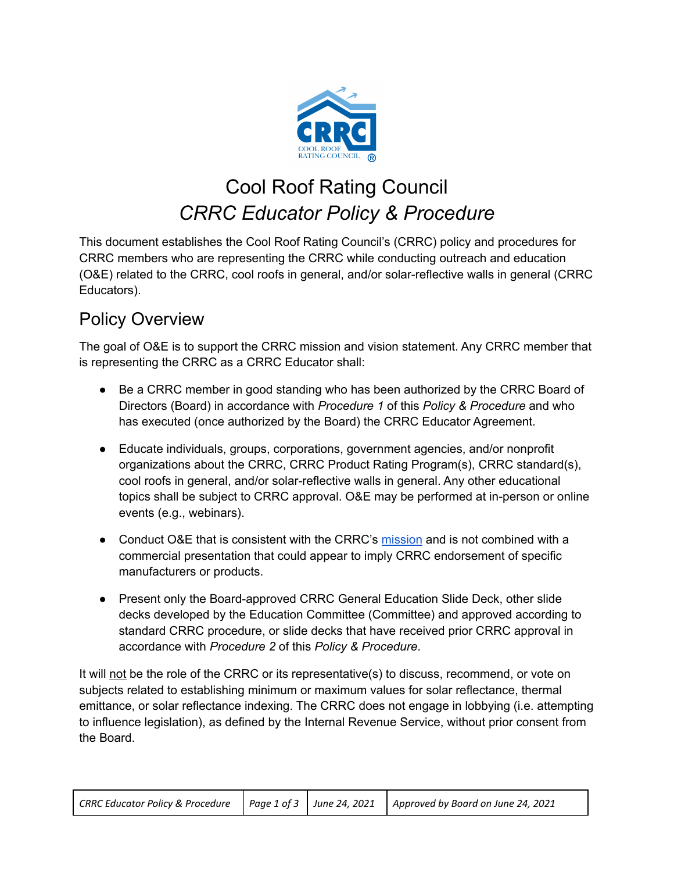

# Cool Roof Rating Council *CRRC Educator Policy & Procedure*

This document establishes the Cool Roof Rating Council's (CRRC) policy and procedures for CRRC members who are representing the CRRC while conducting outreach and education (O&E) related to the CRRC, cool roofs in general, and/or solar-reflective walls in general (CRRC Educators).

## Policy Overview

The goal of O&E is to support the CRRC mission and vision statement. Any CRRC member that is representing the CRRC as a CRRC Educator shall:

- Be a CRRC member in good standing who has been authorized by the CRRC Board of Directors (Board) in accordance with *Procedure 1* of this *Policy & Procedure* and who has executed (once authorized by the Board) the CRRC Educator Agreement.
- Educate individuals, groups, corporations, government agencies, and/or nonprofit organizations about the CRRC, CRRC Product Rating Program(s), CRRC standard(s), cool roofs in general, and/or solar-reflective walls in general. Any other educational topics shall be subject to CRRC approval. O&E may be performed at in-person or online events (e.g., webinars).
- Conduct O&E that is consistent with the CRRC's [mission](https://coolroofs.org/about-crrc/overview) and is not combined with a commercial presentation that could appear to imply CRRC endorsement of specific manufacturers or products.
- Present only the Board-approved CRRC General Education Slide Deck, other slide decks developed by the Education Committee (Committee) and approved according to standard CRRC procedure, or slide decks that have received prior CRRC approval in accordance with *Procedure 2* of this *Policy & Procedure*.

It will not be the role of the CRRC or its representative(s) to discuss, recommend, or vote on subjects related to establishing minimum or maximum values for solar reflectance, thermal emittance, or solar reflectance indexing. The CRRC does not engage in lobbying (i.e. attempting to influence legislation), as defined by the Internal Revenue Service, without prior consent from the Board.

|  | CRRC Educator Policy & Procedure   Page 1 of 3   June 24, 2021   Approved by Board on June 24, 2021 |
|--|-----------------------------------------------------------------------------------------------------|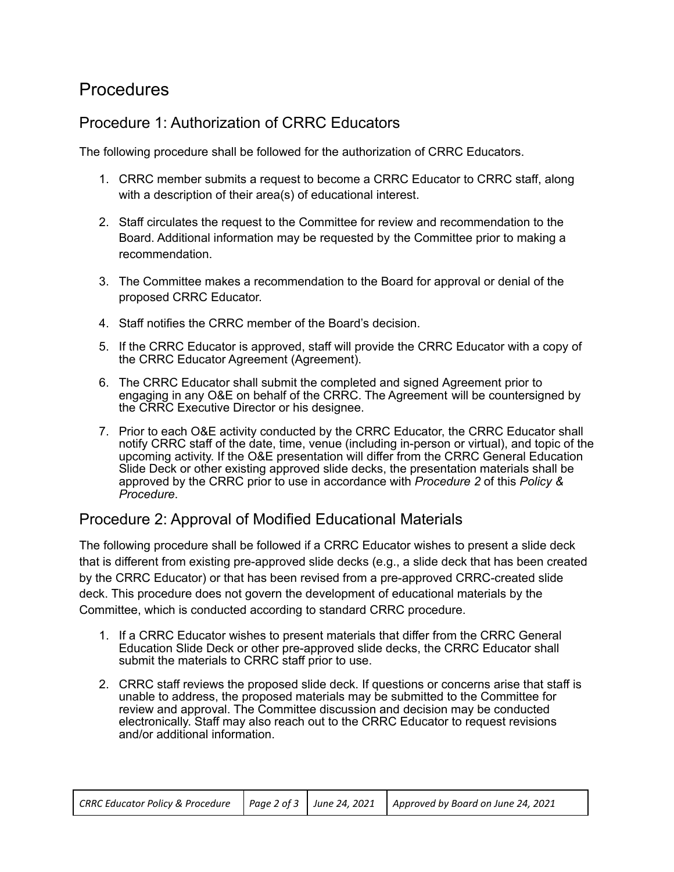### Procedures

#### Procedure 1: Authorization of CRRC Educators

The following procedure shall be followed for the authorization of CRRC Educators.

- 1. CRRC member submits a request to become a CRRC Educator to CRRC staff, along with a description of their area(s) of educational interest.
- 2. Staff circulates the request to the Committee for review and recommendation to the Board. Additional information may be requested by the Committee prior to making a recommendation.
- 3. The Committee makes a recommendation to the Board for approval or denial of the proposed CRRC Educator.
- 4. Staff notifies the CRRC member of the Board's decision.
- 5. If the CRRC Educator is approved, staff will provide the CRRC Educator with a copy of the CRRC Educator Agreement (Agreement).
- 6. The CRRC Educator shall submit the completed and signed Agreement prior to engaging in any O&E on behalf of the CRRC. The Agreement will be countersigned by the CRRC Executive Director or his designee.
- 7. Prior to each O&E activity conducted by the CRRC Educator, the CRRC Educator shall notify CRRC staff of the date, time, venue (including in-person or virtual), and topic of the upcoming activity. If the O&E presentation will differ from the CRRC General Education Slide Deck or other existing approved slide decks, the presentation materials shall be approved by the CRRC prior to use in accordance with *Procedure 2* of this *Policy & Procedure*.

#### Procedure 2: Approval of Modified Educational Materials

The following procedure shall be followed if a CRRC Educator wishes to present a slide deck that is different from existing pre-approved slide decks (e.g., a slide deck that has been created by the CRRC Educator) or that has been revised from a pre-approved CRRC-created slide deck. This procedure does not govern the development of educational materials by the Committee, which is conducted according to standard CRRC procedure.

- 1. If a CRRC Educator wishes to present materials that differ from the CRRC General Education Slide Deck or other pre-approved slide decks, the CRRC Educator shall submit the materials to CRRC staff prior to use.
- 2. CRRC staff reviews the proposed slide deck. If questions or concerns arise that staff is unable to address, the proposed materials may be submitted to the Committee for review and approval. The Committee discussion and decision may be conducted electronically. Staff may also reach out to the CRRC Educator to request revisions and/or additional information.

| CRRC Educator Policy & Procedure   Page 2 of 3   June 24, 2021   Approved by Board on June 24, 2021 |  |  |  |  |  |
|-----------------------------------------------------------------------------------------------------|--|--|--|--|--|
|-----------------------------------------------------------------------------------------------------|--|--|--|--|--|